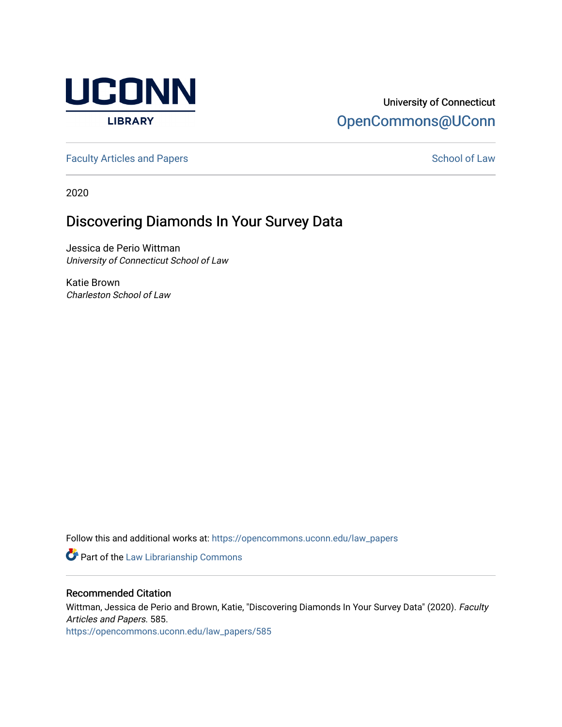

## University of Connecticut [OpenCommons@UConn](https://opencommons.uconn.edu/)

[Faculty Articles and Papers](https://opencommons.uconn.edu/law_papers) **School of Law** School of Law

2020

# Discovering Diamonds In Your Survey Data

Jessica de Perio Wittman University of Connecticut School of Law

Katie Brown Charleston School of Law

Follow this and additional works at: [https://opencommons.uconn.edu/law\\_papers](https://opencommons.uconn.edu/law_papers?utm_source=opencommons.uconn.edu%2Flaw_papers%2F585&utm_medium=PDF&utm_campaign=PDFCoverPages) 

**Part of the [Law Librarianship Commons](https://network.bepress.com/hgg/discipline/1393?utm_source=opencommons.uconn.edu%2Flaw_papers%2F585&utm_medium=PDF&utm_campaign=PDFCoverPages)** 

## Recommended Citation

Wittman, Jessica de Perio and Brown, Katie, "Discovering Diamonds In Your Survey Data" (2020). Faculty Articles and Papers. 585.

[https://opencommons.uconn.edu/law\\_papers/585](https://opencommons.uconn.edu/law_papers/585?utm_source=opencommons.uconn.edu%2Flaw_papers%2F585&utm_medium=PDF&utm_campaign=PDFCoverPages)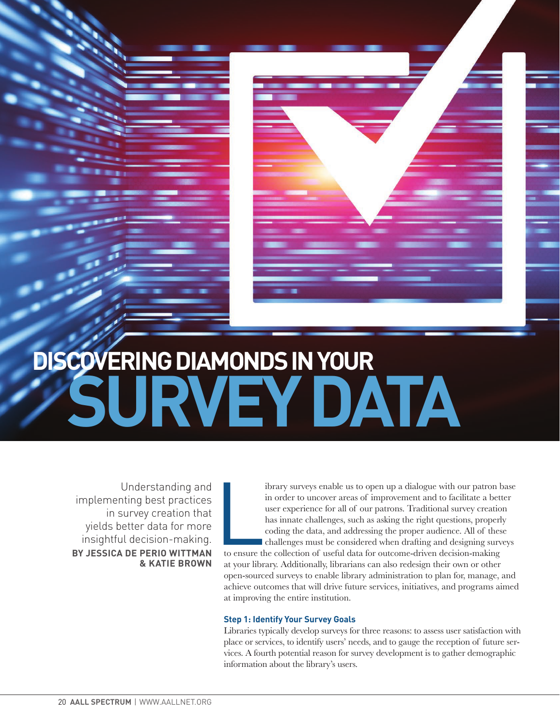# DISCOVERING DIAMONDS IN YOUR<br>SURVEY DA **SURVEY DATA**

Understanding and implementing best practices in survey creation that yields better data for more insightful decision-making. **BY JESSICA DE PERIO WITTMAN & KATIE BROWN**

ibrary surveys enable us to open up a dialogue with our patron base in order to uncover areas of improvement and to facilitate a better user experience for all of our patrons. Traditional survey creation has innate challenges, such as asking the right questions, properly coding the data, and addressing the proper audience. All of these challenges must be considered when drafting and designing surveys

Later and the contract of the set of the set of the set of the set of the set of the set of the set of the set of the set of the set of the set of the set of the set of the set of the set of the set of the set of the set o to ensure the collection of useful data for outcome-driven decision-making at your library. Additionally, librarians can also redesign their own or other open-sourced surveys to enable library administration to plan for, manage, and achieve outcomes that will drive future services, initiatives, and programs aimed at improving the entire institution.

#### **Step 1: Identify Your Survey Goals**

Libraries typically develop surveys for three reasons: to assess user satisfaction with place or services, to identify users' needs, and to gauge the reception of future services. A fourth potential reason for survey development is to gather demographic information about the library's users.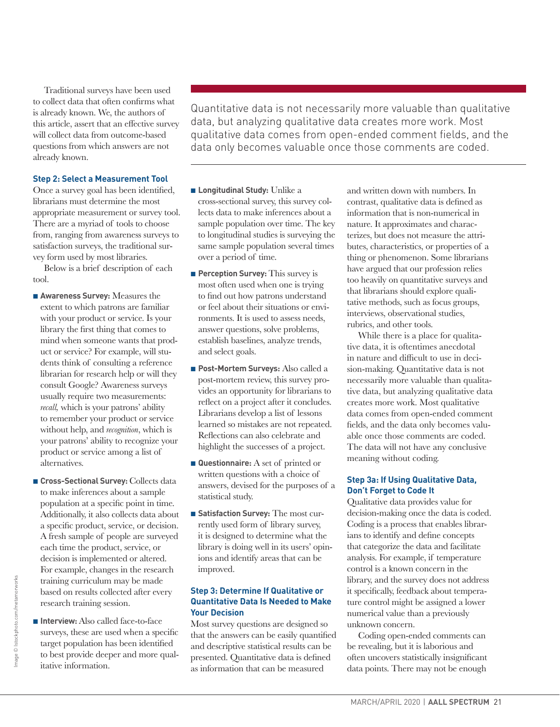Traditional surveys have been used to collect data that often confirms what is already known. We, the authors of this article, assert that an effective survey will collect data from outcome-based questions from which answers are not already known.

#### **Step 2: Select a Measurement Tool**

Once a survey goal has been identified, librarians must determine the most appropriate measurement or survey tool. There are a myriad of tools to choose from, ranging from awareness surveys to satisfaction surveys, the traditional survey form used by most libraries.

Below is a brief description of each tool.

- $\blacksquare$  **Awareness Survey:** Measures the extent to which patrons are familiar with your product or service. Is your library the first thing that comes to mind when someone wants that product or service? For example, will students think of consulting a reference librarian for research help or will they consult Google? Awareness surveys usually require two measurements: *recall,* which is your patrons' ability to remember your product or service without help, and *recognition*, which is your patrons' ability to recognize your product or service among a list of alternatives.
- **E Cross-Sectional Survey: Collects data** to make inferences about a sample population at a specific point in time. Additionally, it also collects data about a specific product, service, or decision. A fresh sample of people are surveyed each time the product, service, or decision is implemented or altered. For example, changes in the research training curriculum may be made based on results collected after every research training session.
- **Interview:** Also called face-to-face surveys, these are used when a specific target population has been identified to best provide deeper and more qualitative information.

Quantitative data is not necessarily more valuable than qualitative data, but analyzing qualitative data creates more work. Most qualitative data comes from open-ended comment fields, and the data only becomes valuable once those comments are coded.

- **E** Longitudinal Study: Unlike a cross-sectional survey, this survey collects data to make inferences about a sample population over time. The key to longitudinal studies is surveying the same sample population several times over a period of time.
- **Perception Survey:** This survey is most often used when one is trying to find out how patrons understand or feel about their situations or environments. It is used to assess needs, answer questions, solve problems, establish baselines, analyze trends, and select goals.
- Post-Mortem Surveys: Also called a post-mortem review, this survey provides an opportunity for librarians to reflect on a project after it concludes. Librarians develop a list of lessons learned so mistakes are not repeated. Reflections can also celebrate and highlight the successes of a project.
- **Questionnaire:** A set of printed or written questions with a choice of answers, devised for the purposes of a statistical study.
- $\blacksquare$  **Satisfaction Survey:** The most currently used form of library survey, it is designed to determine what the library is doing well in its users' opinions and identify areas that can be improved.

### **Step 3: Determine If Qualitative or Quantitative Data Is Needed to Make Your Decision**

Most survey questions are designed so that the answers can be easily quantified and descriptive statistical results can be presented. Quantitative data is defined as information that can be measured

and written down with numbers. In contrast, qualitative data is defined as information that is non-numerical in nature. It approximates and characterizes, but does not measure the attributes, characteristics, or properties of a thing or phenomenon. Some librarians have argued that our profession relies too heavily on quantitative surveys and that librarians should explore qualitative methods, such as focus groups, interviews, observational studies, rubrics, and other tools.

While there is a place for qualitative data, it is oftentimes anecdotal in nature and difficult to use in decision-making. Quantitative data is not necessarily more valuable than qualitative data, but analyzing qualitative data creates more work. Most qualitative data comes from open-ended comment fields, and the data only becomes valuable once those comments are coded. The data will not have any conclusive meaning without coding.

### **Step 3a: If Using Qualitative Data, Don't Forget to Code It**

Qualitative data provides value for decision-making once the data is coded. Coding is a process that enables librarians to identify and define concepts that categorize the data and facilitate analysis. For example, if temperature control is a known concern in the library, and the survey does not address it specifically, feedback about temperature control might be assigned a lower numerical value than a previously unknown concern.

Coding open-ended comments can be revealing, but it is laborious and often uncovers statistically insignificant data points. There may not be enough